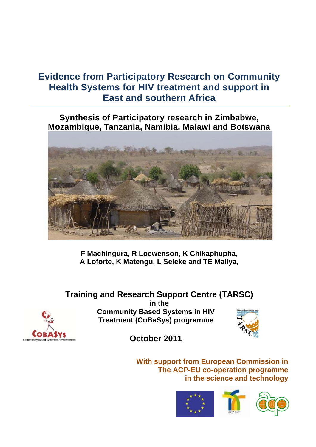# **Evidence from Participatory Research on Community Health Systems for HIV treatment and support in East and southern Africa**

**Synthesis of Participatory research in Zimbabwe, Mozambique, Tanzania, Namibia, Malawi and Botswana**



**F Machingura, R Loewenson, K Chikaphupha, A Loforte, K Matengu, L Seleke and TE Mallya,** 

**Training and Research Support Centre (TARSC) in the Community Based Systems in HIV Treatment (CoBaSys) programme** 



**October 2011** 

**With support from European Commission in The ACP-EU co-operation programme in the science and technology**



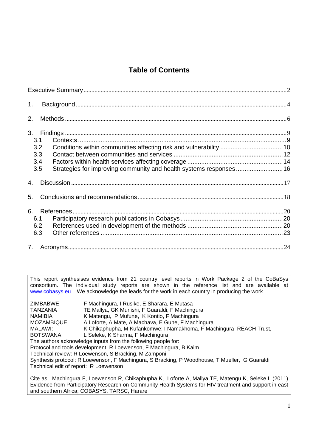## **Table of Contents**

| 1.                                                                                                    |  |
|-------------------------------------------------------------------------------------------------------|--|
| 2.                                                                                                    |  |
| 3.                                                                                                    |  |
| 3.1<br>3.2<br>3.3<br>3.4<br>Strategies for improving community and health systems responses 16<br>3.5 |  |
| 4.                                                                                                    |  |
| 5.                                                                                                    |  |
| 6.<br>6.1<br>6.2<br>6.3                                                                               |  |
| 7.                                                                                                    |  |

This report synthesises evidence from 21 country level reports in Work Package 2 of the CoBaSys consortium. The individual study reports are shown in the reference list and are available at www.cobasys.eu. We acknowledge the leads for the work in each country in producing the work

| ZIMBABWE                              | F Machingura, I Rusike, E Sharara, E Mutasa                                                         |
|---------------------------------------|-----------------------------------------------------------------------------------------------------|
| <b>TANZANIA</b>                       | TE Mallya, GK Munishi, F Guaraldi, F Machingura                                                     |
| <b>NAMIBIA</b>                        | K Matengu, P Mufune, K Kontio, F Machingura                                                         |
| <b>MOZAMBIQUE</b>                     | A Loforte, A Mate, A Machava, E Gune, F Machingura                                                  |
| MALAWI:                               | K Chikaphupha, M Kufankomwe; I Namakhoma, F Machingura REACH Trust,                                 |
| <b>BOTSWANA</b>                       | L Seleke, K Sharma, F Machingura                                                                    |
|                                       | The authors acknowledge inputs from the following people for:                                       |
|                                       | Protocol and tools development, R Loewenson, F Machingura, B Kaim                                   |
|                                       | Technical review: R Loewenson, S Bracking, M Zamponi                                                |
|                                       | Synthesis protocol: R Loewenson, F Machingura, S Bracking, P Woodhouse, T Mueller, G Guaraldi       |
| Technical edit of report: R Loewenson |                                                                                                     |
|                                       | Cite as: Machingura F, Loewenson R, Chikaphupha K, Loforte A, Mallya TE, Matengu K, Seleke L (2011) |

Evidence from Participatory Research on Community Health Systems for HIV treatment and support in east and southern Africa; COBASYS, TARSC, Harare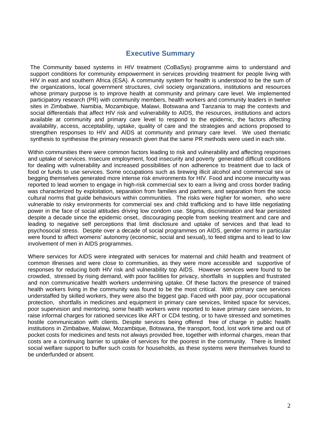## **Executive Summary**

The Community based systems in HIV treatment (CoBaSys) programme aims to understand and support conditions for community empowerment in services providing treatment for people living with HIV in east and southern Africa (ESA). A community system for health is understood to be the sum of the organizations, local government structures, civil society organizations, institutions and resources whose primary purpose is to improve health at community and primary care level. We implemented participatory research (PR) with community members, health workers and community leaders in twelve sites in Zimbabwe, Namibia, Mozambique, Malawi, Botswana and Tanzania to map the contexts and social differentials that affect HIV risk and vulnerability to AIDS, the resources, institutions and actors available at community and primary care level to respond to the epidemic, the factors affecting availability, access, acceptability, uptake, quality of care and the strategies and actions proposed to strengthen responses to HIV and AIDS at community and primary care level. We used thematic synthesis to synthesise the primary research given that the same PR methods were used in each site.

Within communities there were common factors leading to risk and vulnerability and affecting responses and uptake of services. Insecure employment, food insecurity and poverty generated difficult conditions for dealing with vulnerability and increased possibilities of non adherence to treatment due to lack of food or funds to use services. Some occupations such as brewing illicit alcohol and commercial sex or begging themselves generated more intense risk environments for HIV. Food and income insecurity was reported to lead women to engage in high-risk commercial sex to earn a living and cross border trading was characterized by exploitation, separation from families and partners, and separation from the socio cultural norms that guide behaviours within communities. The risks were higher for women, who were vulnerable to risky environments for commercial sex and child trafficking and to have little negotiating power in the face of social attitudes driving low condom use. Stigma, discrimination and fear persisted despite a decade since the epidemic onset,. discouraging people from seeking treatment and care and leading to negative self perceptions that limit disclosure and uptake of services and that lead to psychosocial stress. Despite over a decade of social programmes on AIDS, gender norms in particular were found to affect womens' autonomy (economic, social and sexual), to feed stigma and to lead to low involvement of men in AIDS programmes.

Where services for AIDS were integrated with services for maternal and child health and treatment of common illnesses and were close to communities, as they were more accessible and supportive of responses for reducing both HIV risk and vulnerability top AIDS. However services were found to be crowded, stressed by rising demand, with poor facilities for privacy, shortfalls in supplies and frustrated and non communicative health workers undermining uptake. Of these factors the presence of trained health workers living in the community was found to be the most critical. With primary care services understaffed by skilled workers, they were also the biggest gap. Faced with poor pay, poor occupational protection, shortfalls in medicines and equipment in primary care services, limited space for services, poor supervision and mentoring, some health workers were reported to leave primary care services, to raise informal charges for rationed services like ART or CD4 testing, or to have stressed and sometimes hostile communication with clients. Despite services being offered free of charge in public health institutions in Zimbabwe, Malawi, Mozambique, Botswana, the transport, food, lost work time and out of pocket costs for medicines and tests not always provided free, together with informal charges, mean that costs are a continuing barrier to uptake of services for the poorest in the community. There is limited social welfare support to buffer such costs for households, as these systems were themselves found to be underfunded or absent.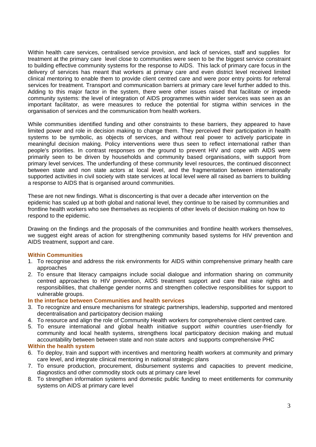Within health care services, centralised service provision, and lack of services, staff and supplies for treatment at the primary care level close to communities were seen to be the biggest service constraint to building effective community systems for the response to AIDS. This lack of primary care focus in the delivery of services has meant that workers at primary care and even district level received limited clinical mentoring to enable them to provide client centred care and were poor entry points for referral services for treatment. Transport and communication barriers at primary care level further added to this. Adding to this major factor in the system, there were other issues raised that facilitate or impede community systems: the level of integration of AIDS programmes within wider services was seen as an important facilitator, as were measures to reduce the potential for stigma within services in the organisation of services and the communication from health workers.

While communities identified funding and other constraints to these barriers, they appeared to have limited power and role in decision making to change them. They perceived their participation in health systems to be symbolic, as objects of services, and without real power to actively participate in meaningful decision making. Policy interventions were thus seen to reflect international rather than people's priorities. In contrast responses on the ground to prevent HIV and cope with AIDS were primarily seen to be driven by households and community based organisations, with support from primary level services. The underfunding of these community level resources, the continued disconnect between state and non state actors at local level, and the fragmentation between internationally supported activities in civil society with state services at local level were all raised as barriers to building a response to AIDS that is organised around communities.

These are not new findings. What is disconcerting is that over a decade after intervention on the epidemic has scaled up at both global and national level, they continue to be raised by communities and frontline health workers who see themselves as recipients of other levels of decision making on how to respond to the epidemic.

Drawing on the findings and the proposals of the communities and frontline health workers themselves, we suggest eight areas of action for strengthening community based systems for HIV prevention and AIDS treatment, support and care.

#### **Within Communities**

- 1. To recognise and address the risk environments for AIDS within comprehensive primary health care approaches
- 2. To ensure that literacy campaigns include social dialogue and information sharing on community centred approaches to HIV prevention, AIDS treatment support and care that raise rights and responsibilities, that challenge gender norms and strengthen collective responsibilities for support to vulnerable groups.

#### **In the interface between Communities and health services**

- 3. To recognize and ensure mechanisms for strategic partnerships, leadership, supported and mentored decentralisation and participatory decision making
- 4. To resource and align the role of Community Health workers for comprehensive client centred care.
- 5. To ensure international and global health initiative support *within* countries user-friendly for community and local health systems, strengthens local participatory decision making and mutual accountability between between state and non state actors and supports comprehensive PHC

### **Within the health system**

- 6. To deploy, train and support with incentives and mentoring health workers at community and primary care level, and integrate clinical mentoring in national strategic plans
- 7. To ensure production, procurement, disbursement systems and capacities to prevent medicine, diagnostics and other commodity stock outs at primary care level
- 8. To strengthen information systems and domestic public funding to meet entitlements for community systems on AIDS at primary care level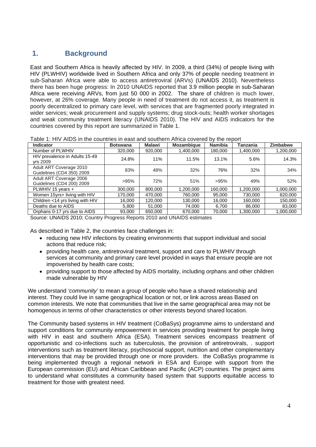## **1. Background**

East and Southern Africa is heavily affected by HIV. In 2009, a third (34%) of people living with HIV (PLWHIV) worldwide lived in Southern Africa and only 37% of people needing treatment in sub-Saharan Africa were able to access antiretroviral (ARVs) (UNAIDS 2010). Nevertheless there has been huge progress: In 2010 UNAIDS reported that 3.9 million people in sub-Saharan Africa were receiving ARVs, from just 50 000 in 2002. The share of children is much lower, however, at 26% coverage. Many people in need of treatment do not access it, as treatment is poorly decentralized to primary care level, with services that are fragmented poorly integrated in wider services; weak procurement and supply systems; drug stock-outs; health worker shortages and weak community treatment literacy (UNAIDS 2010). The HIV and AIDS indicators for the countries covered by this report are summarized in Table 1.

| Table 1: HIV AIDS in the countries in east and southern Africa covered by the report |  |  |
|--------------------------------------------------------------------------------------|--|--|
|--------------------------------------------------------------------------------------|--|--|

| <b>Indicator</b>                                     | <b>Botswana</b> | Malawi  | <b>Mozambique</b> | <b>Namibia</b> | Tanzania  | <b>Zimbabwe</b> |
|------------------------------------------------------|-----------------|---------|-------------------|----------------|-----------|-----------------|
| Number of PLWHIV                                     | 320,000         | 920,000 | 1,400,000         | 180.000        | 1,400,000 | 1,200,000       |
| HIV prevalence in Adults 15-49<br>yrs 2009           | 24.8%           | 11%     | 11.5%             | 13.1%          | 5.6%      | 14.3%           |
| Adult ART Coverage 2010<br>Guidelines (CD4 350) 2009 | 83%             | 48%     | 32%               | 76%            | 32%       | 34%             |
| Adult ART Coverage 2006<br>Guidelines (CD4 200) 2009 | $>95\%$         | 72%     | 51%               | >95%           | 49%       | 52%             |
| PLWHIV 15 years +                                    | 300,000         | 800,000 | 1.200.000         | 160.000        | 1.200.000 | 1,000,000       |
| Women 15yrs+ living with HIV                         | 170.000         | 470.000 | 760.000           | 95.000         | 730,000   | 620,000         |
| Children <14 yrs living with HIV                     | 16,000          | 120,000 | 130.000           | 16,000         | 160,000   | 150,000         |
| Deaths due to AIDS                                   | 5,800           | 51.000  | 74.000            | 6.700          | 86.000    | 83,000          |
| Orphans 0-17 yrs due to AIDS                         | 93.000          | 650,000 | 670,000           | 70.000         | 1,300,000 | 1.000.000       |

Source: UNAIDS 2010; Country Progress Reports 2010 and UNAIDS estimates

As described in Table 2, the countries face challenges in:

- reducing new HIV infections by creating environments that support individual and social actions that reduce risk;
- providing health care, antiretroviral treatment, support and care to PLWHIV through services at community and primary care level provided in ways that ensure people are not impoverished by health care costs;
- providing support to those affected by AIDS mortality, including orphans and other children made vulnerable by HIV

We understand *'community'* to mean a group of people who have a shared relationship and interest. They could live in same geographical location or not, or link across areas Based on common interests. We note that communities that live in the same geographical area may not be homogenous in terms of other characteristics or other interests beyond shared location.

The Community based systems in HIV treatment (CoBaSys) programme aims to understand and support conditions for community empowerment in services providing treatment for people living with HIV in east and southern Africa (ESA). Treatment services encompass treatment of opportunistic and co-infections such as tuberculosis, the provision of antiretrovirals, . support interventions such as treatment literacy, psychosocial support, nutrition and other complementary interventions that may be provided through one or more providers. the CoBaSys programme is being implemented through a regional network in ESA and Europe with support from the European commission (EU) and African Caribbean and Pacific (ACP) countries. The project aims to understand what constitutes a community based system that supports equitable access to treatment for those with greatest need.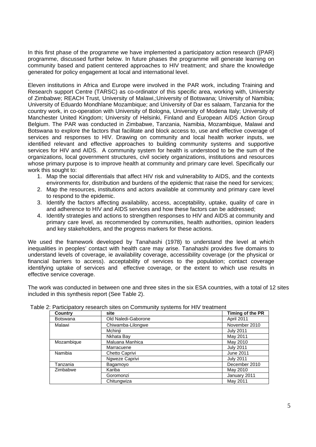In this first phase of the programme we have implemented a participatory action research ({PAR}) programme, discussed further below. In future phases the programme will generate learning on community based and patient centered approaches to HIV treatment; and share the knowledge generated for policy engagement at local and international level.

.

Eleven institutions in Africa and Europe were involved in the PAR work, including Training and Research support Centre (TARSC) as co-ordinator of this specific area, working with, University of Zimbabwe; REACH Trust, University of Malawi,;University of Botswana; University of Namibia; University of Eduardo Mondhlane Mozambique; and University of Dar es salaam, Tanzania for the country work, in co-operation with University of Bologna, University of Modena Italy; University of Manchester United Kingdom; University of Helsinki, Finland and European AIDS Action Group Belgium. The PAR was conducted in Zimbabwe, Tanzania, Namibia, Mozambique, Malawi and Botswana to explore the factors that facilitate and block access to, use and effective coverage of services and responses to HIV. Drawing on community and local health worker inputs, we identified relevant and effective approaches to building community systems and supportive services for HIV and AIDS. A community system for health is understood to be the sum of the organizations, local government structures, civil society organizations, institutions and resources whose primary purpose is to improve health at community and primary care level. Specifically our work this sought to:

- 1. Map the social differentials that affect HIV risk and vulnerability to AIDS, and the contexts environments for, distribution and burdens of the epidemic that raise the need for services;
- 2. Map the resources, institutions and actors available at community and primary care level to respond to the epidemic.
- 3. Identify the factors affecting availability, access, acceptability, uptake, quality of care in and adherence to HIV and AIDS services and how these factors can be addressed;
- 4. Identify strategies and actions to strengthen responses to HIV and AIDS at community and primary care level, as recommended by communities, health authorities, opinion leaders and key stakeholders, and the progress markers for these actions.

We used the framework developed by Tanahashi (1978) to understand the level at which inequalities in peoples' contact with health care may arise. Tanahashi provides five domains to understand levels of coverage, ie availability coverage, accessibility coverage (or the physical or financial barriers to access). acceptability of services to the population; contact coverage identifying uptake of services and effective coverage, or the extent to which use results in effective service coverage.

The work was conducted in between one and three sites in the six ESA countries, with a total of 12 sites included in this synthesis report (See Table 2).

| <b>Country</b>  | site                | Timing of the PR |
|-----------------|---------------------|------------------|
| <b>Botswana</b> | Old Naledi-Gaborone | April 2011       |
| Malawi          | Chiwamba-Lilongwe   | November 2010    |
|                 | Mchinii             | <b>July 2011</b> |
|                 | Nkhata Bay          | May 2011         |
| Mozambique      | Maluana Manhica     | May 2010         |
|                 | Marracuene          | <b>July 2011</b> |
| Namibia         | Chetto Caprivi      | June 2011        |
|                 | Ngweze Caprivi      | <b>July 2011</b> |
| Tanzania        | Bagamoyo            | December 2010    |
| Zimbabwe        | Kariba              | May 2010         |
|                 | Goromonzi           | January 2011     |
|                 | Chitungwiza         | May 2011         |

Table 2: Participatory research sites on Community systems for HIV treatment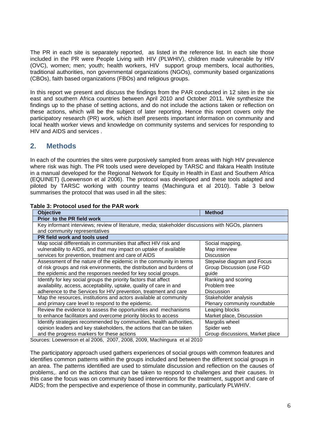The PR in each site is separately reported, as listed in the reference list. In each site those included in the PR were People Living with HIV (PLWHIV), children made vulnerable by HIV (OVC), women; men; youth; health workers, HIV support group members, local authorities, traditional authorities, non governmental organizations (NGOs), community based organizations (CBOs), faith based organizations (FBOs) and religious groups.

In this report we present and discuss the findings from the PAR conducted in 12 sites in the six east and southern Africa countries between April 2010 and October 2011. We synthesize the findings up to the phase of setting actions, and do not include the actions taken or reflection on these actions, which will be the subject of later reporting. Hence this report covers only the participatory research (PR) work, which itself presents important information on community and local health worker views and knowledge on community systems and services for responding to HIV and AIDS and services .

## **2. Methods**

In each of the countries the sites were purposively sampled from areas with high HIV prevalence where risk was high. The PR tools used were developed by TARSC and Ifakara Health Institute in a manual developed for the Regional Network for Equity in Health in East and Southern Africa (EQUINET) (Loewenson et al 2006). The protocol was developed and these tools adapted and piloted by TARSC working with country teams (Machingura et al 2010). Table 3 below summarises the protocol that was used in all the sites:

| 0 U.LIULUUU NUUN IVI LIIU LAIL 11 UIL                                                              |                                 |
|----------------------------------------------------------------------------------------------------|---------------------------------|
| <b>Objective</b>                                                                                   | <b>Method</b>                   |
| Prior to the PR field work                                                                         |                                 |
| Key informant interviews; review of literature, media; stakeholder discussions with NGOs, planners |                                 |
| and community representatives                                                                      |                                 |
| PR field work and tools used                                                                       |                                 |
| Map social differentials in communities that affect HIV risk and                                   | Social mapping,                 |
| vulnerability to AIDS, and that may impact on uptake of available                                  | Map interview                   |
| services for prevention, treatment and care of AIDS                                                | Discussion                      |
| Assessment of the nature of the epidemic in the community in terms                                 | Stepwise diagram and Focus      |
| of risk groups and risk environments, the distribution and burdens of                              | Group Discussion (use FGD       |
| the epidemic and the responses needed for key social groups.                                       | quide                           |
| Identify for key social groups the priority factors that affect                                    | Ranking and scoring             |
| availability, access, acceptability, uptake, quality of care in and                                | Problem tree                    |
| adherence to the Services for HIV prevention, treatment and care                                   | <b>Discussion</b>               |
| Map the resources, institutions and actors available at community                                  | Stakeholder analysis            |
| and primary care level to respond to the epidemic.                                                 | Plenary community roundtable    |
| Review the evidence to assess the opportunities and mechanisms                                     | Leaping blocks                  |
| to enhance facilitators and overcome priority blocks to access                                     | Market place, Discussion        |
| Identify strategies recommended by communities, health authorities,                                | Margolis wheel                  |
| opinion leaders and key stakeholders, the actions that can be taken                                | Spider web                      |
| and the progress markers for these actions                                                         | Group discussions, Market place |
| Sources: Loowenson at al 2006 - 2007 - 2008 - 2009 - Machingura - at al 2010                       |                                 |

### **Table 3: Protocol used for the PAR work**

Sources: Loewenson et al 2006, 2007, 2008, 2009, Machingura et al 2010

The participatory approach used gathers experiences of social groups with common features and identifies common patterns within the groups included and between the different social groups in an area. The patterns identified are used to stimulate discussion and reflection on the causes of problems,. and on the actions that can be taken to respond to challenges and their causes. In this case the focus was on community based interventions for the treatment, support and care of AIDS; from the perspective and experience of those in community, particularly PLWHIV.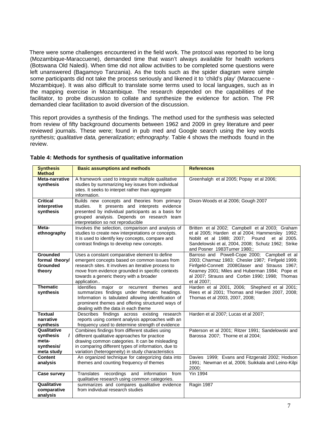There were some challenges encountered in the field work. The protocol was reported to be long (Mozambique-Maraccuene), demanded time that wasn't always available for health workers (Botswana Old Naledi). When time did not allow activities to be completed some questions were left unanswered (Bagamoyo Tanzania). As the tools such as the spider diagram were simple some participants did not take the process seriously and likened it to 'child's play' (Maraccuene - Mozambique). It was also difficult to translate some terms used to local languages, such as in the mapping exercise in Mozambique. The research depended on the capabilities of the facilitator, to probe discussion to collate and synthesize the evidence for action. The PR demanded clear facilitation to avoid diversion of the discussion.

This report provides a synthesis of the findings. The method used for the synthesis was selected from review of fifty background documents between 1962 and 2009 in grey literature and peer reviewed journals. These were; found in pub med and Google search using the key words *synthesis; qualitative data, generalization; ethnography.* Table 4 shows the methods found in the review.

| <b>Synthesis</b><br><b>Method</b>                                         | <b>Basic assumptions and methods</b>                                                                                                                                                                                                                                | <b>References</b>                                                                                                                                                                                                                                                    |
|---------------------------------------------------------------------------|---------------------------------------------------------------------------------------------------------------------------------------------------------------------------------------------------------------------------------------------------------------------|----------------------------------------------------------------------------------------------------------------------------------------------------------------------------------------------------------------------------------------------------------------------|
| Meta-narrative<br>synthesis                                               | A framework used to integrate multiple qualitative<br>studies by summarizing key issues from individual<br>sites. It seeks to interpet rather than aggregate<br>information.                                                                                        | Greenhalgh et al 2005; Popay et al 2006;                                                                                                                                                                                                                             |
| <b>Critical</b><br>interpretive<br>synthesis                              | Builds new concepts and theories from primary<br>It presents and interprets evidence<br>studies.<br>presented by individual participants as a basis for<br>grouped analysis. Depends on research team<br>interpretation so not reproducible                         | Dixon-Woods et al 2006; Gough 2007                                                                                                                                                                                                                                   |
| Meta-<br>ethnography                                                      | Involves the selection, comparison and analysis of<br>studies to create new interpretations or concepts.<br>It is used to identify key concepts, compare and<br>contrast findings to develop new concepts.                                                          | Britten et al 2002; Campbell et al 2003; Graham<br>et al 2005; Harden et al 2004; Hammersley 1992;<br>Noblit et al 1988; 2007; Pound<br>et al 2005.<br>Sandelowski et al, 2004, 2008; Schutz 1962; Strike<br>and Posner 1983Turner 1980;;                            |
| Grounded<br>formal theory/<br><b>Grounded</b><br>theory                   | Uses a constant comparative element to define<br>emergent concepts based on common issues from<br>research sites. It involves an iterative process to<br>move from evidence grounded in specific contexts<br>towards a generic theory with a broader<br>application | Barroso and Powell-Cope 2000; Campbell et al<br>2003; Charmaz 1983; Chesler 1987; Finfgeld 1999;<br>Finfgeld-Connett 2008Glaser and Strauss 1967;<br>Kearney 2001; Miles and Huberman 1984; Pope et<br>al 2007; Strauss and Corbin 1990; 1998; Thomas<br>et al 2007: |
| <b>Thematic</b><br>synthesis                                              | Identifies major or recurrent themes<br>and<br>summarizes findings under thematic headings.<br>Information is tabulated allowing identification of<br>prominent themes and offering structured ways of<br>dealing with the data in each theme                       | Harden et al 2001, 2006; Shepherd et al 2001;<br>Rees et al 2001; Thomas and Harden 2007, 2008;<br>Thomas et al 2003, 2007, 2008;                                                                                                                                    |
| <b>Textual</b><br>narrative<br>synthesis                                  | Describes findings across existing research<br>reports using content analysis approaches with an<br>frequency used to determine strength of evidence                                                                                                                | Harden et al 2007; Lucas et al 2007;                                                                                                                                                                                                                                 |
| Qualitative<br>synthesis<br>$\prime$<br>meta-<br>synthesis/<br>meta study | Combines findings from different studies using<br>different qualitative approaches for practice<br>drawing common categories. It can be misleading<br>in comparing different types of information, due to<br>variation (heterogeneity) in study characteristics     | Paterson et al 2001; Ritzer 1991; Sandelowski and<br>Barossa 2007; Thorne et al 2004;                                                                                                                                                                                |
| Content<br>analysis                                                       | An organized technique for categorizing data into<br>themes and counting frequency of themes                                                                                                                                                                        | Davies 1999; Evans and Fitzgerald 2002; Hodson<br>1991; Newman et al, 2006; Suikkala and Leino-Kilpi<br>2000:                                                                                                                                                        |
| Case survey                                                               | Translates recordings and information from<br>qualitative research using common categories.                                                                                                                                                                         | <b>Yin 1994</b>                                                                                                                                                                                                                                                      |
| Qualitative<br>comparative<br>analysis                                    | summarizes and compares qualitative evidence<br>from individual research studies                                                                                                                                                                                    | Ragin 1987                                                                                                                                                                                                                                                           |

#### **Table 4: Methods for synthesis of qualitative information**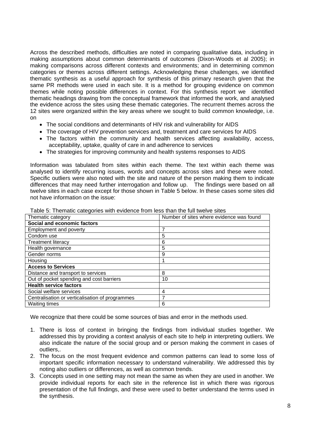Across the described methods, difficulties are noted in comparing qualitative data, including in making assumptions about common determinants of outcomes (Dixon-Woods et al 2005); in making comparisons across different contexts and environments; and in determining common categories or themes across different settings. Acknowledging these challenges, we identified thematic synthesis as a useful approach for synthesis of this primary research given that the same PR methods were used in each site. It is a method for grouping evidence on common themes while noting possible differences in context. For this synthesis report we identified thematic headings drawing from the conceptual framework that informed the work, and analysed the evidence across the sites using these thematic categories. The recurrent themes across the 12 sites were organized within the key areas where we sought to build common knowledge, i.e. on

- The social conditions and determinants of HIV risk and vulnerability for AIDS
- The coverage of HIV prevention services and, treatment and care services for AIDS
- The factors within the community and health services affecting availability, access, acceptability, uptake, quality of care in and adherence to services
- The strategies for improving community and health systems responses to AIDS

Information was tabulated from sites within each theme. The text within each theme was analysed to identify recurring issues, words and concepts across sites and these were noted. Specific outliers were also noted with the site and nature of the person making them to indicate differences that may need further interrogation and follow up. The findings were based on all twelve sites in each case except for those shown in Table 5 below. In these cases some sites did not have information on the issue:

| Thematic category                               | Number of sites where evidence was found |
|-------------------------------------------------|------------------------------------------|
| Social and economic factors                     |                                          |
| Employment and poverty                          |                                          |
| Condom use                                      | 5                                        |
| <b>Treatment literacy</b>                       | 6                                        |
| Health governance                               | 5                                        |
| Gender norms                                    | 9                                        |
| Housing                                         |                                          |
| <b>Access to Services</b>                       |                                          |
| Distance and transport to services              | 8                                        |
| Out of pocket spending and cost barriers        | 10                                       |
| <b>Health service factors</b>                   |                                          |
| Social welfare services                         | 4                                        |
| Centralisation or verticalisation of programmes | 7                                        |
| <b>Waiting times</b>                            | 6                                        |

Table 5: Thematic categories with evidence from less than the full twelve sites

We recognize that there could be some sources of bias and error in the methods used.

- 1. There is loss of context in bringing the findings from individual studies together. We addressed this by providing a context analysis of each site to help in interpreting outliers. We also indicate the nature of the social group and or person making the comment in cases of outliers,.
- 2. The focus on the most frequent evidence and common patterns can lead to some loss of important specific information necessary to understand vulnerability. We addressed this by noting also outliers or differences, as well as common trends.
- 3. Concepts used in one setting may not mean the same as when they are used in another. We provide individual reports for each site in the reference list in which there was rigorous presentation of the full findings, and these were used to better understand the terms used in the synthesis.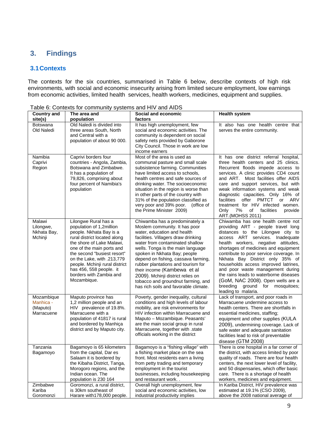## **3. Findings**

### **3.1 Contexts**

The contexts for the six countries, summarised in Table 6 below, describe contexts of high risk environments, with social and economic insecurity arising from limited secure employment, low earnings from economic activities, limited health services, health workers, medicines, equipment and supplies.

| <b>Country and</b>                                | The area and                                                                                                                                                                                                                                                                                                                              | Social and economic                                                                                                                                                                                                                                                                                                                                                                                                                                                           | <b>Health system</b>                                                                                                                                                                                                                                                                                                                                                                                                                                                                                                               |
|---------------------------------------------------|-------------------------------------------------------------------------------------------------------------------------------------------------------------------------------------------------------------------------------------------------------------------------------------------------------------------------------------------|-------------------------------------------------------------------------------------------------------------------------------------------------------------------------------------------------------------------------------------------------------------------------------------------------------------------------------------------------------------------------------------------------------------------------------------------------------------------------------|------------------------------------------------------------------------------------------------------------------------------------------------------------------------------------------------------------------------------------------------------------------------------------------------------------------------------------------------------------------------------------------------------------------------------------------------------------------------------------------------------------------------------------|
| site(s)                                           | population                                                                                                                                                                                                                                                                                                                                | factors                                                                                                                                                                                                                                                                                                                                                                                                                                                                       |                                                                                                                                                                                                                                                                                                                                                                                                                                                                                                                                    |
| <b>Botswana</b><br>Old Naledi                     | Old Naledi is divided into<br>three areas South, North<br>and Central with a<br>population of about 90 000.                                                                                                                                                                                                                               | It has high unemployment, few<br>social and economic activities. The<br>community is dependent on social<br>safety nets provided by Gaborone<br>City Council. Those in work are low<br>income earners                                                                                                                                                                                                                                                                         | It also has one health centre that<br>serves the entire community.                                                                                                                                                                                                                                                                                                                                                                                                                                                                 |
| Namibia<br>Caprivi<br>Region                      | Caprivi borders four<br>countries - Angola, Zambia,<br>Botswana and Zimbabwe.<br>It has a population of<br>79,826, comprising about<br>four percent of Namibia's<br>population                                                                                                                                                            | Most of the area is used as<br>communal pasture and small scale<br>subsistence farming. Communities<br>have limited access to schools,<br>health centres and safe sources of<br>drinking water. The socioeconomic<br>situation in the region is worse than<br>in other parts of the country with<br>31% of the population classified as<br>very poor and 39% poor. (office of<br>the Prime Minister 2009)                                                                     | It has one district referral hospital,<br>three health centers and 25 clinics.<br>Recurrent floods impede access to<br>services. A clinic provides CD4 count<br>and ART. Most facilities offer AIDS<br>care and support services, but with<br>weak information systems and weak<br>diagnostic capacities. Only 16% of<br>offer<br><b>PMTCT</b><br>ARV<br>facilities<br>or<br>treatment for HIV infected women.<br>7%<br>of<br>facilities<br>provide<br>Only<br>ART.(MOHSS 2011)                                                    |
| Malawi<br>Lilongwe,<br>Nkhata Bay,<br>Mchinji     | Lilongwe Rural has a<br>population of 1,2million<br>people. Nkhata Bay is a<br>rural district located along<br>the shore of Lake Malawi,<br>one of the main ports and<br>the second "busiest resort"<br>on the Lake, with .213,779<br>people. Mchinji rural district<br>has 456, 558 people. it<br>borders with Zambia and<br>Mozambique. | Chiwamba has a predominately a<br>Moslem community. It has poor<br>water, education and health<br>facilities. Villagers draw drinking<br>water from contaminated shallow<br>wells. Tonga is the main language<br>spoken in Nkhata Bay; people<br>depend on fishing, cassava farming,<br>rubber plantations and tourism for<br>their income (Kambewa et al<br>2009). Mchinji district relies on<br>tobacco and groundnut farming, and<br>has rich soils and favorable climate. | Chiwamba has one health centre not<br>providing ART - people travel long<br>distances to the Lilongwe city to<br>access ART services. Inadequate<br>health workers, negative attitudes,<br>shortages of medicines and equipment<br>contribute to poor service coverage. In<br>Nkhata Bay District only 35% of<br>households access improved latrines,<br>and poor waste management during<br>the rains leads to waterborne diseases<br>(GoM, NAC 2008). Open wells are a<br>breeding ground for mosquitoes;<br>leading to malaria. |
| Mozambique<br>Manhica -<br>(Maputo)<br>Marracuene | Maputo province has<br>1,2 million people and an<br>HIV prevalence of 19.8%.<br>Marracuene with a<br>population of 41817 is rural<br>and bordered by Manhiça<br>district and by Maputo city.                                                                                                                                              | Poverty, gender inequality, cultural<br>conditions and high levels of labour<br>mobility, are risk environments for<br>HIV infection within Marracuene and<br>Maputo - Mozambique. Peasants'<br>are the main social group in rural<br>Marracuene, together with .state<br>officials working in the district                                                                                                                                                                   | Lack of transport, and poor roads in<br>Marracuene undermine access to<br>health centers. There are shortfalls in<br>essential medicines, staffing;<br>equipment and other supplies (KULA<br>2009), undermining coverage. Lack of<br>safe water and adequate sanitation<br>facilities lead to risk of preventable<br>disease (GTM 2008)                                                                                                                                                                                            |
| Tanzania<br>Bagamoyo                              | Bagamoyo is 65 kilometers<br>from the capital, Dar es<br>Salaam it is bordered by<br>the Kibaha District, Tanga,<br>Morogoro regions, and the<br>Indian ocean. The<br>population is 230 164                                                                                                                                               | Bagamoyo is a "fishing village" with<br>a fishing market place on the sea<br>front. Most residents earn a living<br>from petty trading and temporary<br>employment in the tourist<br>businesses, including housekeeping<br>and restaurant work                                                                                                                                                                                                                                | There is one hospital in a far corner of<br>the district, with access limited by poor<br>quality of roads. There are four health<br>centers, the next lower level of facility,<br>and 50 dispensaries, which offer basic<br>care. There is a shortage of health<br>workers, medicines and equipment.                                                                                                                                                                                                                               |
| Zimbabwe<br>Kariba<br>Goromonzi                   | Goromonzi, a rural district,<br>is 30km southeast of<br>Harare with 178,000 people.                                                                                                                                                                                                                                                       | Overall high unemployment, few<br>social and economic activities, low<br>industrial productivity implies                                                                                                                                                                                                                                                                                                                                                                      | In Kariba District, HIV prevalence was<br>estimated at 19.1% (CSO 2009),<br>above the 2008 national average of                                                                                                                                                                                                                                                                                                                                                                                                                     |

Table 6: Contexts for community systems and HIV and AIDS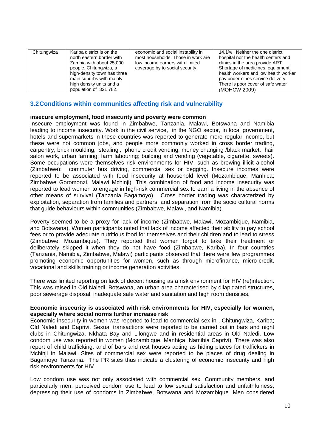| Chitungwiza | Kariba district is on the<br>north eastern border with<br>Zambia with about 25,000<br>people. Chitungwiza, a<br>high-density town has three<br>main suburbs with mainly<br>high density units and a<br>population of 321 782. | economic and social instability in<br>most households. Those in work are<br>low income earners with limited<br>coverage by to social security. | 14.1% Neither the one district<br>hospital nor the health centers and<br>clinics in the area provide ART.<br>Shortage of medicines, equipment,<br>health workers and low health worker<br>pay undermines service delivery.<br>There is poor cover of safe water<br>(MOHCW 2009) |
|-------------|-------------------------------------------------------------------------------------------------------------------------------------------------------------------------------------------------------------------------------|------------------------------------------------------------------------------------------------------------------------------------------------|---------------------------------------------------------------------------------------------------------------------------------------------------------------------------------------------------------------------------------------------------------------------------------|

### **3.2 Conditions within communities affecting risk and vulnerability**

#### **insecure employment, food insecurity and poverty were common**

Insecure employment was found in Zimbabwe, Tanzania, Malawi, Botswana and Namibia leading to income insecurity. Work in the civil service, in the NGO sector, in local government, hotels and supermarkets in these countries was reported to generate more regular income, but these were not common jobs, and people more commonly worked in cross border trading, carpentry, brick moulding, 'stealing', phone credit vending, money changing /black market, hair salon work, urban farming; farm labouring; building and vending (vegetable, cigarette, sweets). Some occupations were themselves risk environments for HIV, such as brewing illicit alcohol (Zimbabwe); commuter bus driving, commercial sex or begging. Insecure incomes were reported to be associated with food insecurity at household level (Mozambique, Manhica; Zimbabwe Goromonzi, Malawi Mchinji). This combination of food and income insecurity was reported to lead women to engage in high-risk commercial sex to earn a living in the absence of other means of survival (Tanzania Bagamoyo). Cross border trading was characterized by exploitation, separation from families and partners, and separation from the socio cultural norms that guide behaviours within communities (Zimbabwe, Malawi, and Namibia).

Poverty seemed to be a proxy for lack of income (Zimbabwe, Malawi, Mozambique, Namibia, and Botswana). Women participants noted that lack of income affected their ability to pay school fees or to provide adequate nutritious food for themselves and their children and to lead to stress (Zimbabwe, Mozambique). They reported that women forgot to take their treatment or deliberately skipped it when they do not have food (Zimbabwe, Kariba). In four countries (Tanzania, Namibia, Zimbabwe, Malawi) participants observed that there were few programmes promoting economic opportunities for women, such as through microfinance, micro-credit, vocational and skills training or income generation activities.

There was limited reporting on lack of decent housing as a risk environment for HIV (re)infection. This was raised in Old Naledi, Botswana, an urban area characterised by dilapidated structures, poor sewerage disposal, inadequate safe water and sanitation and high room densities.

#### **Economic insecurity is associated with risk environments for HIV, especially for women, especially where social norms further increase risk**

Economic insecurity in women was reported to lead to commercial sex in , Chitungwiza, Kariba; Old Naledi and Caprivi. Sexual transactions were reported to be carried out in bars and night clubs in Chitungwiza, Nkhata Bay and Lilongwe and in residential areas in Old Naledi. Low condom use was reported in women (Mozambique, Manhiça; Namibia Caprivi). There was also report of child trafficking, and of bars and rest houses acting as hiding places for traffickers in Mchinji in Malawi. Sites of commercial sex were reported to be places of drug dealing in Bagamoyo Tanzania. The PR sites thus indicate a clustering of economic insecurity and high risk environments for HIV.

Low condom use was not only associated with commercial sex. Community members, and particularly men, perceived condom use to lead to low sexual satisfaction and unfaithfulness, depressing their use of condoms in Zimbabwe, Botswana and Mozambique. Men considered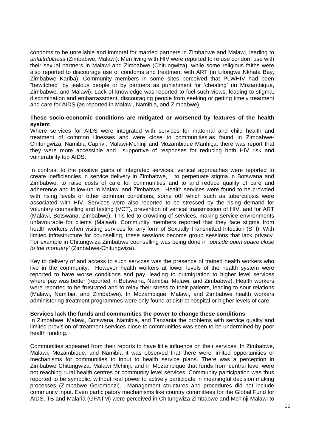condoms to be unreliable and immoral for married partners in Zimbabwe and Malawi, leading to *unfaithfulness* (Zimbabwe, Malawi). Men living with HIV were reported to refuse condom use with their sexual partners in Malawi and Zimbabwe (Chitungwiza), while some religious faiths were also reported to discourage use of condoms and treatment with ART (in Lilongwe Nkhata Bay, Zimbabwe Kariba). Community members in some sites perceived that PLWHIV had been "bewitched" by jealous people or by partners as punishment for 'cheating' (in Mozambique, Zimbabwe, and Malawi). Lack of knowledge was reported to fuel such views, leading to stigma, discrimination and embarrassment, discouraging people from seeking or getting timely treatment and care for AIDS (as reported in Malawi, Namibia, and Zimbabwe).

#### **These socio-economic conditions are mitigated or worsened by features of the health system**

Where services for AIDS were integrated with services for maternal and child health and treatment of common illnesses and were close to communities,as found in Zimbabwe-Chitungwiza, Namibia Caprivi, Malawi-Mchinji and Mozambique Manhiça, there was report that they were more accessible and supportive of responses for reducing both HIV risk and vulnerability top AIDS.

In contrast to the positive gains of integrated services, vertical approaches were reported to create inefficiencies in service delivery in Zimbabwe, to perpetuate stigma in Botswana and Zimbabwe, to raise costs of care for communities and to and reduce quality of care and adherence and follow-up in Malawi and Zimbabwe. Health services were found to be crowded with rising levels of other common conditions, some o0f which such as tuberculosis were associated with HIV. Services were also reported to be stressed by the rising demand for voluntary counselling and testing (VCT), prevention of vertical transmission of HIV, and for ART (Malawi, Botswana, Zimbabwe). This led to crowding of services, making service environments unfavourable for clients (Malawi). Community members reported that they face stigma from health workers when visiting services for any form of Sexually Transmitted Infection (STI). With limited infrastructure for counselling, these sessions become group sessions that lack privacy. For example in Chitungwiza Zimbabwe counselling was being done in '*outside open space close to the mortuary'* (Zimbabwe-Chitungwiza).

Key to delivery of and access to such services was the presence of trained health workers who live in the community. However health workers at lower levels of the health system were reported to have worse conditions and pay, leading to outmigration to higher level services where pay was better (reported in Botswana, Namibia, Malawi, and Zimbabwe). Health workers were reported to be frustrated and to relay their stress to their patients, leading to sour relations (Malawi, Namibia, and Zimbabwe). In Mozambique, Malawi, and Zimbabwe health workers administering treatment programmes were only found at district hospital or higher levels of care.

#### **Services lack the funds and communities the power to change these conditions**

In Zimbabwe, Malawi, Botswana, Namibia, and Tanzania the problems with service quality and limited provision of treatment services close to communities was seen to be undermined by poor health funding.

Communities appeared from their reports to have little influence on their services. In Zimbabwe, Malawi, Mozambique, and Namibia it was observed that there were limited opportunities or mechanisms for communities to input to health service plans. There was a perception in Zimbabwe Chitungwiza, Malawi Mchinji, and in Mozambique that funds from central level were not reaching rural health centres or community level services. Community participation was thus reported to be symbolic, without real power to actively participate in meaningful decision making processes (Zimbabwe Goromonzi). Management structures and procedures did not include community input. Even participatory mechanisms like country committees for the Global Fund for AIDS, TB and Malaria (GFATM) were perceived in Chitungwiza Zimbabwe and Mchinji Malawi to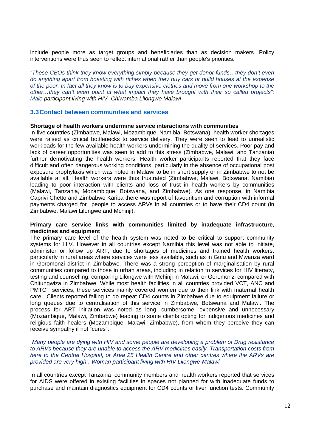include people more as target groups and beneficiaries than as decision makers. Policy interventions were thus seen to reflect international rather than people's priorities.

*"These CBOs think they know everything simply because they get donor funds…they don't even do anything apart from boasting with riches when they buy cars or build houses at the expense of the poor. In fact all they know is to buy expensive clothes and move from one workshop to the other…they can't even point at what impact they have brought with their so called projects": Male participant living with HIV -Chiwamba Lilongwe Malawi* 

#### **3.3 Contact between communities and services**

#### **Shortage of health workers undermine service interactions with communities**

In five countries (Zimbabwe, Malawi, Mozambique, Namibia, Botswana), health worker shortages were raised as critical bottlenecks to service delivery. They were seen to lead to unrealistic workloads for the few available health workers undermining the quality of services. Poor pay and lack of career opportunities was seen to add to this stress (Zimbabwe, Malawi, and Tanzania) further demotivating the health workers. Health worker participants reported that they face difficult and often dangerous working conditions, particularly in the absence of occupational post exposure prophylaxis which was noted in Malawi to be in short supply or in Zimbabwe to not be available at all. Health workers were thus frustrated (Zimbabwe, Malawi, Botswana, Namibia) leading to poor interaction with clients and loss of trust in health workers by communities (Malawi, Tanzania, Mozambique, Botswana, and Zimbabwe). As one response, in Namibia Caprivi Chetto and Zimbabwe Kariba there was report of favouritism and corruption with informal payments charged for people to access ARVs in all countries or to have their CD4 count (in Zimbabwe, Malawi Lilongwe and Mchinji).

#### **Primary care service links with communities limited by inadequate infrastructure, medicines and equipment**

The primary care level of the health system was noted to be critical to support community systems for HIV. However in all countries except Namibia this level was not able to initiate, administer or follow up ART, due to shortages of medicines and trained health workers, particularly in rural areas where services were less available, such as in Gutu and Mwanza ward in Goromonzi district in Zimbabwe. There was a strong perception of marginalisation by rural communities compared to those in urban areas, including in relation to services for HIV literacy, testing and counselling, comparing Lilongwe with Mchinji in Malawi, or Goromonzi compared with Chitungwiza in Zimbabwe. While most health facilities in all countries provided VCT, ANC and PMTCT services, these services mainly covered women due to their link with maternal health care. Clients reported failing to do repeat CD4 counts in Zimbabwe due to equipment failure or long queues due to centralisation of this service in Zimbabwe, Botswana and Malawi. The process for ART initiation was noted as long, cumbersome, expensive and unnecessary (Mozambique, Malawi, Zimbabwe) leading to some clients opting for indigenous medicines and religious faith healers (Mozambique, Malawi, Zimbabwe), from whom they perceive they can receive sympathy if not "cures".

#### *"Many people are dying with HIV and some people are developing a problem of Drug resistance*  to ARVs because they are unable to access the ARV medicines easily. Transportation costs from *here to the Central Hospital, or Area 25 Health Centre and other centres where the ARVs are provided are very high". Woman participant living with HIV Lilongwe-Malawi*

In all countries except Tanzania community members and health workers reported that services for AIDS were offered in existing facilities in spaces not planned for with inadequate funds to purchase and maintain diagnostics equipment for CD4 counts or liver function tests. Community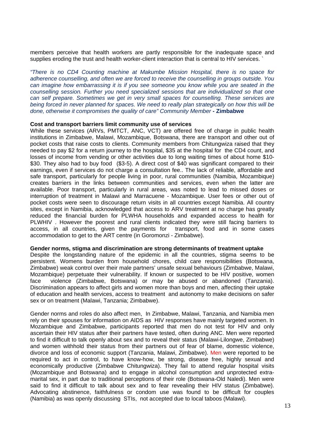members perceive that health workers are partly responsible for the inadequate space and supplies eroding the trust and health worker-client interaction that is central to HIV services.

*"There is no CD4 Counting machine at Makumbe Mission Hospital, there is no space for adherence counselling, and often we are forced to receive the counselling in groups outside. You can imagine how embarrassing it is if you see someone you know while you are seated in the counselling session. Further you need specialized sessions that are individualized so that one can self prepare. Sometimes we get in very small spaces for counselling. These services are being forced in never planned for spaces. We need to really plan strategically on how this will be done, otherwise it compromises the quality of care" Community Member* **- Zimbabwe**

#### **Cost and transport barriers limit community use of services**

While these services (ARVs, PMTCT, ANC, VCT) are offered free of charge in public health institutions in Zimbabwe, Malawi, Mozambique, Botswana, there are transport and other out of pocket costs that raise costs to clients. Community members from Chitungwiza raised that they needed to pay \$2 for a return journey to the hospital, \$35 at the hospital for the CD4 count, and losses of income from vending or other activities due to long waiting times of about home \$10- \$30. They also had to buy food (\$3-5). A direct cost of \$40 was significant compared to their earnings, even if services do not charge a consultation fee.. The lack of reliable, affordable and safe transport, particularly for people living in poor, rural communities (Namibia, Mozambique) creates barriers in the links between communities and services, even when the latter are available. Poor transport, particularly in rural areas, was noted to lead to missed doses or interruption of treatment in Malawi and Marracuene - Mozambique. User fees or other out of pocket costs were seen to discourage return visits in all countries except Namibia. All country sites, except in Namibia, acknowledged that access to ARV treatment at no charge has greatly reduced the financial burden for PLWHA households and expanded access to health for PLWHIV . However the poorest and rural clients indicated they were still facing barriers to access, in all countries, given the payments for transport, food and in some cases accommodation to get to the ART centre (in Goromonzi - Zimbabwe).

#### **Gender norms, stigma and discrimination are strong determinants of treatment uptake**

Despite the longstanding nature of the epidemic in all the countries, stigma seems to be persistent. Womens burden from household chores, child care responsibilities (Botswana, Zimbabwe) weak control over their male partners' unsafe sexual behaviours (Zimbabwe, Malawi, Mozambique) perpetuate their vulnerability. If known or suspected to be HIV positive, women face violence (Zimbabwe, Botswana) or may be abused or abandoned (Tanzania). Discrimination appears to affect girls and women more than boys and men, affecting their uptake of education and health services, access to treatment and autonomy to make decisions on safer sex or on treatment (Malawi, Tanzania; Zimbabwe).

Gender norms and roles do also affect men, In Zimbabwe, Malawi, Tanzania, and Namibia men rely on their spouses for information on AIDS as HIV responses have mainly targeted women. In Mozambique and Zimbabwe, participants reported that men do not test for HIV and only ascertain their HIV status after their partners have tested, often during ANC. Men were reported to find it difficult to talk openly about sex and to reveal their status (Malawi-Lilongwe, Zimbabwe) and women withhold their status from their partners out of fear of blame, domestic violence, divorce and loss of economic support (Tanzania, Malawi, Zimbabwe). Men were reported to be required to act in control, to have know-how, be strong, disease free, highly sexual and economically productive (Zimbabwe Chitungwiza). They fail to attend regular hospital visits (Mozambique and Botswana) and to engage in alcohol consumption and unprotected extramarital sex, in part due to traditional perceptions of their role (Botswana-Old Naledi). Men were said to find it difficult to talk about sex and to fear revealing their HIV status (Zimbabwe). Advocating abstinence, faithfulness or condom use was found to be difficult for couples (Namibia) as was openly discussing STIs, not accepted due to local taboos (Malawi).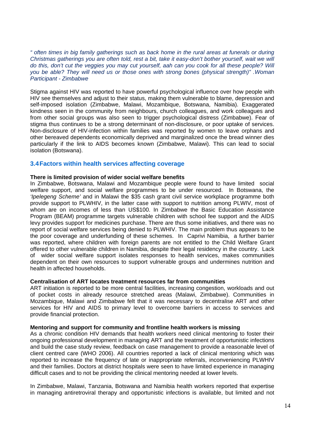*" often times in big family gatherings such as back home in the rural areas at funerals or during Christmas gatherings you are often told, rest a bit, take it easy-don't bother yourself, wait we will*  do this, don't cut the veggies you may cut yourself, aah can you cook for all these people? Will *you be able? They will need us or those ones with strong bones (physical strength)" .Woman Participant - Zimbabwe* 

Stigma against HIV was reported to have powerful psychological influence over how people with HIV see themselves and adjust to their status, making them vulnerable to blame, depression and self-imposed isolation (Zimbabwe, Malawi, Mozambique, Botswana, Namibia). Exaggerated kindness seen in the community from neighbours, church colleagues, and work colleagues and from other social groups was also seen to trigger psychological distress (Zimbabwe). Fear of stigma thus continues to be a strong determinant of non-disclosure, or poor uptake of services. Non-disclosure of HIV-infection within families was reported by women to leave orphans and other bereaved dependents economically deprived and marginalized once the bread winner dies particularly if the link to AIDS becomes known (Zimbabwe, Malawi). This can lead to social isolation (Botswana).

#### **3.4 Factors within health services affecting coverage**

#### **There is limited provision of wider social welfare benefits**

In Zimbabwe, Botswana, Malawi and Mozambique people were found to have limited social welfare support, and social welfare programmes to be under resourced. In Botswana, the *'Ipelegeng Scheme'* and in Malawi the \$35 cash grant civil service workplace programme both provide support to PLWHIV, in the latter case with support to nutrition among PLWIV, most of whom are on incomes of less than US\$100. In Zimbabwe the Basic Education Assistance Program (BEAM) programme targets vulnerable children with school fee support and the AIDS levy provides support for medicines purchase. There are thus some initiatives, and there was no report of social welfare services being denied to PLWHIV. The main problem thus appears to be the poor coverage and underfunding of these schemes. In Caprivi Namibia, a further barrier was reported, where children with foreign parents are not entitled to the Child Welfare Grant offered to other vulnerable children in Namibia, despite their legal residency in the country. Lack of wider social welfare support isolates responses to health services, makes communities dependent on their own resources to support vulnerable groups and undermines nutrition and health in affected households.

#### **Centralisation of ART locates treatment resources far from communities**

ART initiation is reported to be more central facilities, increasing congestion, workloads and out of pocket costs in already resource stretched areas (Malawi, Zimbabwe). Communities in Mozambique, Malawi and Zimbabwe felt that it was necessary to decentralise ART and other services for HIV and AIDS to primary level to overcome barriers in access to services and provide financial protection.

#### **Mentoring and support for community and frontline health workers is missing**

As a chronic condition HIV demands that health workers need clinical mentoring to foster their ongoing professional development in managing ART and the treatment of opportunistic infections and build the case study review, feedback on case management to provide a reasonable level of client centred care (WHO 2006). All countries reported a lack of clinical mentoring which was reported to increase the frequency of late or inappropriate referrals, inconveniencing PLWHIV and their families. Doctors at district hospitals were seen to have limited experience in managing difficult cases and to not be providing the clinical mentoring needed at lower levels.

In Zimbabwe, Malawi, Tanzania, Botswana and Namibia health workers reported that expertise in managing antiretroviral therapy and opportunistic infections is available, but limited and not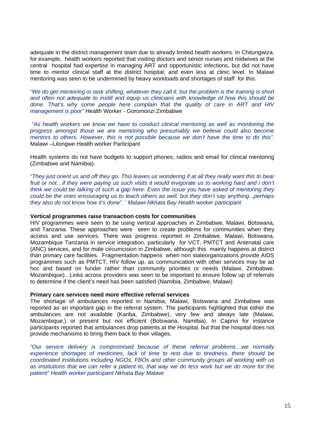adequate in the district management team due to already limited health workers. In Chitungwiza, for example, health workers reported that visiting doctors and senior nurses and midwives at the central hospital had expertise in managing ART and opportunistic infections, but did not have time to mentor clinical staff at the district hospital, and even less at clinic level. In Malawi mentoring was seen to be undermined by heavy workloads and shortages of staff for this.

*"We do get mentoring or task shifting, whatever they call it, but the problem is the training is short and often not adequate to instill and equip us clinicians with knowledge of how this should be done. That's why some people here complain that the quality of care in ART and HIV management is poor"* Health Worker - Goromonzi Zimbabwe

 *"As health workers we know we have to conduct clinical mentoring as well as monitoring the progress amongst those we are mentoring who presumably we believe could also become mentors to others. However, this is not possible because we don't have the time to do this".*  Malawi –Lilongwe Health worker Participant

Health systems do not have budgets to support phones, radios and email for clinical mentoring (Zimbabwe and Namibia).

*"They just orient us and off they go. This leaves us wondering if at all they really want this to bear*  fruit or not...if they were paying us such visits it would invigorate us to working hard and i don't *think we could be talking of such a gap here. Even the issue you have asked of mentoring they could be the ones encouraging us to teach others as well, but they don't say anything...perhaps they also do not know how it's done". ' Malawi-Nkhata Bay Health worker participant* 

#### **Vertical programmes raise transaction costs for communities**

HIV programmes were seen to be using vertical approaches in Zimbabwe, Malawi, Botswana, and Tanzania. These approaches were seen to create problems for communities when they access and use services. There was progress reported in Zimbabwe, Malawi, Botswana, Mozambique Tanzania in service integration, particularly for VCT, PMTCT and Antenatal care (ANC) services, and for male circumcision in Zimbabwe, although this mainly happens at district than primary care facilities. Fragmentation happens when non stateorganizations provide AIDS programmes such as PMTCT, HIV follow up, as communication with other services may be ad hoc and based on funder rather than community priorities or needs (Malawi, Zimbabwe, Mozambique).. Links across providers was seen to be important to ensure follow up of referrals to determine if the client's need has been satisfied (Namibia, Zimbabwe, Malawi)

#### **Primary care services need more effective referral services**

The shortage of ambulances reported in Namibia, Malawi, Botswana and Zimbabwe was reported as an important gap in the referral system. The participants highlighted that either the ambulances are not available (Kariba, Zimbabwe), very few and always late (Malawi, Mozambique,) or present but not efficient (Botswana, Namibia). In Caprivi for instance participants reported that ambulances drop patients at the Hospital, but that the hospital does not provide mechanisms to bring them back to their villages.

*"Our service delivery is compromised because of these referral problems…we normally experience shortages of medicines, lack of time to rest due to tiredness, there should be coordinated institutions including NGOs, FBOs and other community groups all working with us as institutions that we can refer a patient to, that way we do less work but we do more for the patient" Health worker participant Nkhata Bay Malawi*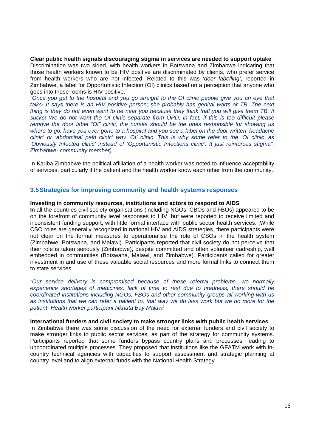**Clear public health signals discouraging stigma in services are needed to support uptake**  Discrimination was two sided, with health workers in Botswana and Zimbabwe indicating that those health workers known to be HIV positive are discriminated by clients, who prefer service from health workers who are not infected. Related to this was '*door labelling'*, reported in Zimbabwe, a label for Opportunistic Infection (OI) clinics based on a perception that anyone who goes into these rooms is HIV positive.

*"Once you get to the hospital and you go straight to the OI clinic people give you an eye that*  talks! It says there is an HIV positive person; she probably has genital warts or TB. The next *thing is they do not even want to be near you because they think that you will give them TB, It sucks! We do not want the OI clinic separate from OPD, in fact, if this is too difficult please remove the door label "OI" clinic, the nurses should be the ones responsible for showing us where to go, have you ever gone to a hospital and you see a label on the door written 'headache clinic' or 'abdominal pain clinic' why 'OI' clinic. This is why some refer to the 'OI clinic' as 'Obviously Infected clinic' instead of 'Opportunistic Infections clinic'. It just reinforces stigma". Zimbabwe- community member)* 

In Kariba Zimbabwe the political affiliation of a health worker was noted to influence acceptability of services, particularly if the patient and the health worker know each other from the community.

#### **3.5 Strategies for improving community and health systems responses**

#### **Investing in community resources, institutions and actors to respond to AIDS**

**I**n all the countries civil society organisations (including NGOs, CBOs and FBOs) appeared to be on the forefront of community level responses to HIV, but were reported to receive limited and inconsistent funding support, with little formal interface with public sector health services. .While CSO roles are generally recognized in national HIV and AIDS strategies, there participants were not clear on the formal measures to operationalise the role of CSOs in the health system (Zimbabwe, Botswana, and Malawi). Participants reported that civil society do not perceive that their role is taken seriously (Zimbabwe), despite committed and often volunteer cadreship, well embedded in communities (Botswana, Malawi, and Zimbabwe). Participants called for greater investment in and use of these valuable social resources and more formal links to connect them to state services.

*"Our service delivery is compromised because of these referral problems…we normally experience shortages of medicines, lack of time to rest due to tiredness, there should be coordinated institutions including NGOs, FBOs and other community groups all working with us as institutions that we can refer a patient to, that way we do less work but we do more for the patient" Health worker participant Nkhata Bay Malawi* 

#### **International funders and civil society to make stronger links with public health services**

In Zimbabwe there was some discussion of the need for external funders and civil society to make stronger links to public sector services, as part of the strategy for community systems. Participants reported that some funders bypass country plans and processes, leading to uncoordinated multiple processes. They proposed that institutions like the GFATM work with incountry technical agencies with capacities to support assessment and strategic planning at country level and to align external funds with the National Health Strategy.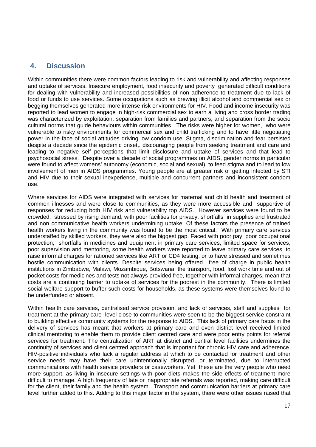## **4. Discussion**

Within communities there were common factors leading to risk and vulnerability and affecting responses and uptake of services. Insecure employment, food insecurity and poverty generated difficult conditions for dealing with vulnerability and increased possibilities of non adherence to treatment due to lack of food or funds to use services. Some occupations such as brewing illicit alcohol and commercial sex or begging themselves generated more intense risk environments for HIV. Food and income insecurity was reported to lead women to engage in high-risk commercial sex to earn a living and cross border trading was characterized by exploitation, separation from families and partners, and separation from the socio cultural norms that guide behaviours within communities. The risks were higher for women, who were vulnerable to risky environments for commercial sex and child trafficking and to have little negotiating power in the face of social attitudes driving low condom use. Stigma, discrimination and fear persisted despite a decade since the epidemic onset,. discouraging people from seeking treatment and care and leading to negative self perceptions that limit disclosure and uptake of services and that lead to psychosocial stress. Despite over a decade of social programmes on AIDS, gender norms in particular were found to affect womens' autonomy (economic, social and sexual), to feed stigma and to lead to low involvement of men in AIDS programmes. Young people are at greater risk of getting infected by STI and HIV due to their sexual inexperience, multiple and concurrent partners and inconsistent condom use.

Where services for AIDS were integrated with services for maternal and child health and treatment of common illnesses and were close to communities, as they were more accessible and supportive of responses for reducing both HIV risk and vulnerability top AIDS. However services were found to be crowded, stressed by rising demand, with poor facilities for privacy, shortfalls in supplies and frustrated and non communicative health workers undermining uptake. Of these factors the presence of trained health workers living in the community was found to be the most critical. With primary care services understaffed by skilled workers, they were also the biggest gap. Faced with poor pay, poor occupational protection, shortfalls in medicines and equipment in primary care services, limited space for services, poor supervision and mentoring, some health workers were reported to leave primary care services, to raise informal charges for rationed services like ART or CD4 testing, or to have stressed and sometimes hostile communication with clients. Despite services being offered free of charge in public health institutions in Zimbabwe, Malawi, Mozambique, Botswana, the transport, food, lost work time and out of pocket costs for medicines and tests not always provided free, together with informal charges, mean that costs are a continuing barrier to uptake of services for the poorest in the community. There is limited social welfare support to buffer such costs for households, as these systems were themselves found to be underfunded or absent.

Within health care services, centralised service provision, and lack of services, staff and supplies for treatment at the primary care level close to communities were seen to be the biggest service constraint to building effective community systems for the response to AIDS. This lack of primary care focus in the delivery of services has meant that workers at primary care and even district level received limited clinical mentoring to enable them to provide client centred care and were poor entry points for referral services for treatment. The centralization of ART at district and central level facilities undermines the continuity of services and client centred approach that is important for chronic HIV care and adherence. HIV-positive individuals who lack a regular address at which to be contacted for treatment and other service needs may have their care unintentionally disrupted, or terminated, due to interrupted communications with health service providers or caseworkers. Yet these are the very people who need more support, as living in insecure settings with poor diets makes the side effects of treatment more difficult to manage. A high frequency of late or inappropriate referrals was reported, making care difficult for the client, their family and the health system.Transport and communication barriers at primary care level further added to this. Adding to this major factor in the system, there were other issues raised that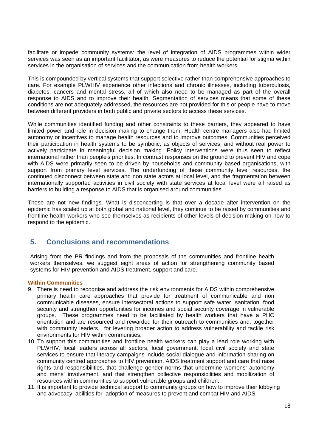facilitate or impede community systems: the level of integration of AIDS programmes within wider services was seen as an important facilitator, as were measures to reduce the potential for stigma within services in the organisation of services and the communication from health workers.

This is compounded by vertical systems that support selective rather than comprehensive approaches to care. For example PLWHIV experience other infections and chronic illnesses, including tuberculosis, diabetes, cancers and mental stress, all of which also need to be managed as part of the overall response to AIDS and to improve their health. Segmentation of services means that some of these conditions are not adequately addressed, the resources are not provided for this or people have to move between different providers in both public and private sectors to access these services.

While communities identified funding and other constraints to these barriers, they appeared to have limited power and role in decision making to change them. Health centre managers also had limited autonomy or incentives to manage health resources and to improve outcomes. Communities perceived their participation in health systems to be symbolic, as objects of services, and without real power to actively participate in meaningful decision making. Policy interventions were thus seen to reflect international rather than people's priorities. In contrast responses on the ground to prevent HIV and cope with AIDS were primarily seen to be driven by households and community based organisations, with support from primary level services. The underfunding of these community level resources, the continued disconnect between state and non state actors at local level, and the fragmentation between internationally supported activities in civil society with state services at local level were all raised as barriers to building a response to AIDS that is organised around communities.

These are not new findings. What is disconcerting is that over a decade after intervention on the epidemic has scaled up at both global and national level, they continue to be raised by communities and frontline health workers who see themselves as recipients of other levels of decision making on how to respond to the epidemic.

## **5. Conclusions and recommendations**

Arising from the PR findings and from the proposals of the communities and frontline health workers themselves, we suggest eight areas of action for strengthening community based systems for HIV prevention and AIDS treatment, support and care.

### **Within Communities**

- 9. There is need to recognise and address the risk environments for AIDS within comprehensive primary health care approaches that provide for treatment of communicable and non communicable diseases, ensure intersectoral actions to support safe water, sanitation, food security and strengthen opportunities for incomes and social security coverage in vulnerable groups. These programmes need to be facilitated by health workers that have a PHC orientation and are resourced and rewarded for their outreach to communities and, together with community leaders, for levering broader action to address vulnerability and tackle risk environments for HIV within communities.
- 10. To support this communities and frontline health workers can play a lead role working with PLWHIV, local leaders across all sectors, local government, local civil society and state services to ensure that literacy campaigns include social dialogue and information sharing on community centred approaches to HIV prevention, AIDS treatment support and care that raise rights and responsibilities, that challenge gender norms that undermine womens' autonomy and mens' involvement, and that strengthen collective responsibilities and mobilization of resources within communities to support vulnerable groups and children.
- 11. It is important to provide technical support to community groups on how to improve their lobbying and advocacy abilities for adoption of measures to prevent and combat HIV and AIDS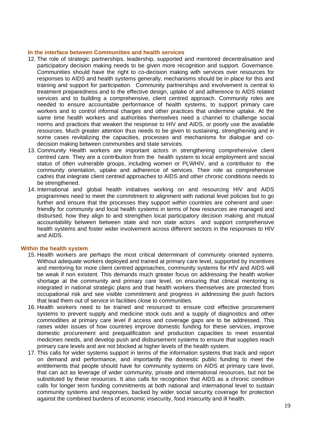#### **In the interface between Communities and health services**

- 12. The role of strategic partnerships, leadership, supported and mentored decentralisation and participatory decision making needs to be given more recognition and support. Governance. Communities should have the right to co-decision making with services over resources for responses to AIDS and health systems generally, mechanisms should be in place for this and training and support for participation. Community partnerships and involvement is central to treatment preparedness and to the effective design, uptake of and adherence to AIDS related services and to building a comprehensive, client centred approach. Community roles are needed to ensure accountable performance of health systems, to support primary care workers and to control informal charges and other practices that undermine uptake. At the same time health workers and authorities themselves need a channel to challenge social norms and practices that weaken the response to HIV and AIDS, or poorly use the available resources. Much greater attention thus needs to be given to sustaining, strengthening and in some cases revitalizing the capacities, processes and mechanisms for dialogue and codecision making between communities and state services.
- 13. Community Health workers are important actors in strengthening comprehensive client centred care. They are a contribution from the health system to local employment and social status of often vulnerable groups, including women or PLWHIV, and a contributor to the community orientation, uptake and adherence of services. Their role as comprehensive cadres that integrate client centred approaches to AIDS and other chronic conditions needs to be strengthened.
- 14. International and global health initiatives working on and resourcing HIV and AIDS programmes need to meet the commitment to alignment with national level policies but to go further and ensure that the processes they support *within* countries are coherent and userfriendly for community and local health systems in terms of how resources are managed and disbursed, how they align to and strengthen local participatory decision making and mutual accountability between between state and non state actors and support comprehensive health systems and foster wider involvement across different sectors in the responses to HIV and AIDS.

#### **Within the health system**

- 15. Health workers are perhaps the most critical determinant of community oriented systems. Without adequate workers deployed and trained at primary care level, supported by incentives and mentoring for more client centred approaches, community systems for HIV and AIDS will be weak if non existent. This demands much greater focus on addressing the health worker shortage at the community and primary care level, on ensuring that clinical mentoring is integrated in national strategic plans and that health workers themselves are protected from occupational risk and see visible commitment and progress in addressing the push factors that lead them out of service in facilities close to communities.
- 16. Health workers need to be trained and resourced to ensure cost effective procurement systems to prevent supply and medicine stock outs and a supply of diagnostics and other commodities at primary care level if access and coverage gaps are to be addressed. This raises wider issues of how countries improve domestic funding for these services, improve domestic procurement and prequalification and production capacities to meet essential medicines needs, and develop push and disbursement systems to ensure that supplies reach primary care levels and are not blocked at higher levels of the health system.
- 17. This calls for wider systems support in terms of the information systems that track and report on demand and performance, and importantly the domestic public funding to meet the entitlements that people should have for community systems on AIDS at primary care level, that can act as leverage of wider community, private and international resources, but not be substituted by these resources. It also calls for recognition that AIDS as a chronic condition calls for longer term funding commitments at both national and international level to sustain community systems and responses, backed by wider social security coverage for protection against the combined burdens of economic insecurity, food insecurity and ill health.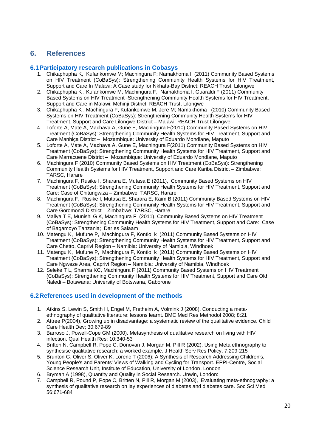## **6. References**

#### **6.1 Participatory research publications in Cobasys**

- 1. Chikaphupha K, Kufankomwe M; Machingura F; Namakhoma I (2011) Community Based Systems on HIV Treatment (CoBaSys): Strengthening Community Health Systems for HIV Treatment, Support and Care In Malawi: A Case study for Nkhata-Bay District: REACH Trust, Lilongwe
- 2. Chikaphupha K , Kufankomwe M, Machingura F, Namakhoma I, Guaraldi F (2011) Community Based Systems on HIV Treatment -Strengthening Community Health Systems for HIV Treatment, Support and Care in Malawi: Mchinji District: REACH Trust, Lilongwe
- 3. Chikaphupha K , Machingura F, Kufankomwe M, Jere M; Namakhoma I (2010) Community Based Systems on HIV Treatment (CoBaSys): Strengthening Community Health Systems for HIV Treatment, Support and Care Lilongwe District – Malawi: REACH Trust Lilongwe
- 4. Loforte A, Mate A, Machava A, Gune E, Machingura F(2010) Community Based Systems on HIV Treatment (CoBaSys): Strengthening Community Health Systems for HIV Treatment, Support and Care Manhiça District – Mozambique: University of Eduardo Mondlane, Maputo
- 5. Loforte A, Mate A, Machava A, Gune E, Machingura F(2011) Community Based Systems on HIV Treatment (CoBaSys): Strengthening Community Health Systems for HIV Treatment, Support and Care Marracuene District – Mozambique: University of Eduardo Mondlane, Maputo
- 6. Machingura F (2010) Community Based Systems on HIV Treatment (CoBaSys): Strengthening Community Health Systems for HIV Treatment, Support and Care Kariba District – Zimbabwe: TARSC, Harare
- 7. Machingura F, Rusike I, Sharara E, Mutasa E (2011), Community Based Systems on HIV Treatment (CoBaSys): Strengthening Community Health Systems for HIV Treatment, Support and Care: Case of Chitungwiza – Zimbabwe: TARSC, Harare
- 8. Machingura F, Rusike I, Mutasa E, Sharara E, Kaim B (2011) Community Based Systems on HIV Treatment (CoBaSys): Strengthening Community Health Systems for HIV Treatment, Support and Care Goromonzi District – Zimbabwe: TARSC, Harare
- 9. Mallya T E, Munishi G K, Machingura F (2011), Community Based Systems on HIV Treatment (CoBaSys): Strengthening Community Health Systems for HIV Treatment, Support and Care: Case of Bagamoyo Tanzania; Dar es Salaam
- 10. Matengu K, Mufune P, Machingura F, Kontio k (2011) Community Based Systems on HIV Treatment (CoBaSys): Strengthening Community Health Systems for HIV Treatment, Support and Care Chetto, Caprivi Region – Namibia: University of Namibia, Windhoek
- 11. Matengu K, Mufune P, Machingura F, Kontio k (2011) Community Based Systems on HIV Treatment (CoBaSys): Strengthening Community Health Systems for HIV Treatment, Support and Care Ngweze Area, Caprivi Region – Namibia: University of Namibia, Windhoek
- 12. Seleke T L, Sharma KC, Machingura F (2011) Community Based Systems on HIV Treatment (CoBaSys): Strengthening Community Health Systems for HIV Treatment, Support and Care Old Naledi – Botswana: University of Botswana, Gaborone

### **6.2 References used in development of the methods**

- 1. Atkins S, Lewin S, Smith H, Engel M, Fretheim A, Volmink J (2008), Conducting a metaethnography of qualitative literature: lessons learnt. BMC Med Res Methodol 2008; 8:21
- 2. Attree P(2004), Growing up in disadvantage: a systematic review of the qualitative evidence. Child Care Health Dev; 30:679-89
- 3. Barroso J, Powell-Cope GM (2000). Metasynthesis of qualitative research on living with HIV infection. Qual Health Res; 10:340-53
- 4. Britten N, Campbell R, Pope C, Donovan J, Morgan M, Pill R (2002), Using Meta ethnography to synthesise qualitative research: a worked example. J Health Serv Res Policy, 7:209-215
- 5. Brunton G, Oliver S, Oliver K, Lorenc T (2006): A Synthesis of Research Addressing Children's, Young People's and Parents' Views of Walking and Cycling for Transport. EPPI-Centre, Social Science Research Unit, Institute of Education, University of London. London
- 6. Bryman A (1998), Quantity and Quality in Social Research. Unwin, London:
- 7. Campbell R, Pound P, Pope C, Britten N, Pill R, Morgan M (2003), Evaluating meta-ethnography: a synthesis of qualitative research on lay experiences of diabetes and diabetes care. Soc Sci Med 56:671-684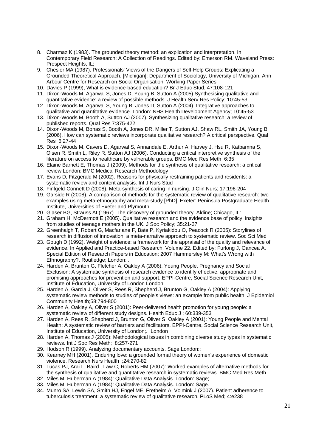- 8. Charmaz K (1983). The grounded theory method: an explication and interpretation. In Contemporary Field Research: A Collection of Readings. Edited by: Emerson RM. Waveland Press: Prospect Heights, IL:
- 9. Chesler MA (1987). Professionals' Views of the Dangers of Self-Help Groups: Explicating a Grounded Theoretical Approach. [Michigan]: Department of Sociology, University of Michigan, Ann Arbour Centre for Research on Social Organisation, Working Paper Series
- 10. Davies P (1999), What is evidence-based education? Br J Educ Stud, 47:108-121
- 11. Dixon-Woods M, Agarwal S, Jones D, Young B, Sutton A (2005) Synthesising qualitative and quantitative evidence: a review of possible methods. J Health Serv Res Policy; 10:45-53
- 12. Dixon-Woods M, Agarwal S, Young B, Jones D, Sutton A (2004). Integrative approaches to qualitative and quantitative evidence. London: NHS Health Development Agency; 10:45-53
- 13. Dixon-Woods M, Booth A, Sutton AJ (2007). Synthesizing qualitative research: a review of published reports. Qual Res 7:375-422
- 14. Dixon-Woods M, Bonas S, Booth A, Jones DR, Miller T, Sutton AJ, Shaw RL, Smith JA, Young B (2006). How can systematic reviews incorporate qualitative research? A critical perspective. Qual Res 6:27-44
- 15. Dixon-Woods M, Cavers D, Agarwal S, Annandale E, Arthur A, Harvey J, Hsu R, Katbamna S, Olsen R, Smith L, Riley R, Sutton AJ (2006). Conducting a critical interpretive synthesis of the literature on access to healthcare by vulnerable groups. BMC Med Res Meth 6:35
- 16. Elaine Barnett E, Thomas J (2009). Methods for the synthesis of qualitative research: a critical review.London: BMC Medical Research Methodology
- 17. Evans D, Fitzgerald M (2002). Reasons for physically restraining patients and residents: a systematic review and content analysis. Int J Nurs Stud
- 18. Finfgeld-Connett D (2008). Meta-synthesis of caring in nursing. J Clin Nurs; 17:196-204
- 19. Garside R (2008). A comparison of methods for the systematic review of qualitative research: two examples using meta-ethnography and meta-study [PhD]. Exeter: Peninsula Postgraduate Health Institute, Universities of Exeter and Plymouth
- 20. Glaser BG, Strauss AL(1967). The discovery of grounded theory. Aldine; Chicago, IL: .
- 21. Graham H, McDermott E (2005). Qualitative research and the evidence base of policy: insights from studies of teenage mothers in the UK. J Soc Policy; 35:21-37
- 22. Greenhalgh T, Robert G, Macfarlane F, Bate P, Kyriakidou O, Peacock R (2005): Storylines of research in diffusion of innovation: a meta-narrative approach to systematic review. Soc Sci Med
- 23. Gough D (1992). Weight of evidence: a framework for the appraisal of the quality and relevance of evidence. In Applied and Practice-based Research. Volume 22. Edited by: Furlong J, Oancea A. Special Edition of Research Papers in Education; 2007 Hammersley M: What's Wrong with Ethnography?. Routledge; London: .
- 24. Harden A, Brunton G, Fletcher A, Oakley A (2006). Young People, Pregnancy and Social Exclusion: A systematic synthesis of research evidence to identify effective, appropriate and promising approaches for prevention and support. EPPI-Centre, Social Science Research Unit, Institute of Education, University of London London
- 25. Harden A, Garcia J, Oliver S, Rees R, Shepherd J, Brunton G, Oakley A (2004): Applying systematic review methods to studies of people's views: an example from public health. J Epidemiol Community Health;58:794-800
- 26. Harden A, Oakley A, Oliver S (2001): Peer-delivered health promotion for young people: a systematic review of different study designs. Health Educ J ; 60:339-353
- 27. Harden A, Rees R, Shepherd J, Brunton G, Oliver S, Oakley A (2001): Young People and Mental Health: A systematic review of barriers and facilitators. EPPI-Centre, Social Science Research Unit, Institute of Education, University of London;. London
- 28. Harden A, Thomas J (2005): Methodological issues in combining diverse study types in systematic reviews. Int J Soc Res Meth; 8:257-271
- 29. Hodson R (1999). Analyzing documentary accounts. Sage London:;
- 30. Kearney MH (2001), Enduring love: a grounded formal theory of women's experience of domestic violence. Research Nurs Health ;24:270-82
- 31. Lucas PJ, Arai L, Baird , Law C, Roberts HM (2007): Worked examples of alternative methods for the synthesis of qualitative and quantitative research in systematic reviews. BMC Med Res Meth 32. Miles M, Huberman A (1984): Qualitative Data Analysis. London: Sage; .
- 33. Miles M, Huberman A (1984): Qualitative Data Analysis. London: Sage.
- 34. Munro SA, Lewin SA, Smith HJ, Engel ME, Fretheim A, Volmink J (2007). Patient adherence to tuberculosis treatment: a systematic review of qualitative research. PLoS Med; 4:e238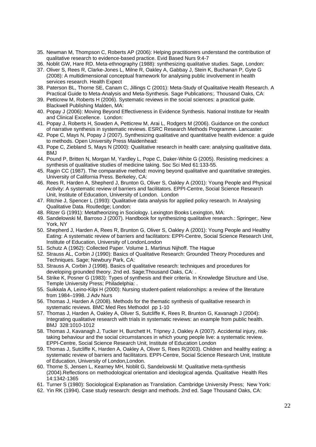- 35. Newman M, Thompson C, Roberts AP (2006): Helping practitioners understand the contribution of qualitative research to evidence-based practice. Evid Based Nurs 9:4-7
- 36. Noblit GW, Hare RD. Meta-ethnography (1988): synthesizing qualitative studies. Sage, London:
- 37. Oliver S, Rees R, Clarke-Jones L, Milne R, Oakley A, Gabbay J, Stein K, Buchanan P, Gyte G (2008): A multidimensional conceptual framework for analysing public involvement in health services research. Health Expect
- 38. Paterson BL, Thorne SE, Canam C, Jillings C (2001): Meta-Study of Qualitative Health Research. A Practical Guide to Meta-Analysis and Meta-Synthesis. Sage Publications;. Thousand Oaks, CA:
- 39. Petticrew M, Roberts H (2006). Systematic reviews in the social sciences: a practical guide. Blackwell Publishing Malden, MA:
- 40. Popay J (2006): Moving Beyond Effectiveness in Evidence Synthesis. National Institute for Health and Clinical Excellence. London:
- 41. Popay J, Roberts H, Sowden A, Petticrew M, Arai L, Rodgers M (2006). Guidance on the conduct of narrative synthesis in systematic reviews. ESRC Research Methods Programme. Lancaster:
- 42. Pope C, Mays N, Popay J (2007). Synthesizing qualitative and quantitative health evidence: a guide to methods. Open University Press Maidenhead:
- 43. Pope C, Ziebland S, Mays N (2000): Qualitative research in health care: analysing qualitative data. BMJ
- 44. Pound P, Britten N, Morgan M, Yardley L, Pope C, Daker-White G (2005). Resisting medicines: a synthesis of qualitative studies of medicine taking. Soc Sci Med 61:133-55.
- 45. Ragin CC (1987). The comparative method: moving beyond qualitative and quantitative strategies. University of California Press. Berkeley, CA:
- 46. Rees R, Harden A, Shepherd J, Brunton G, Oliver S, Oakley A (2001): Young People and Physical Activity: A systematic review of barriers and facilitators. EPPI-Centre, Social Science Research Unit, Institute of Education, University of London. London
- 47. Ritchie J, Spencer L (1993): Qualitative data analysis for applied policy research. In Analysing Qualitative Data. Routledge; London:
- 48. Ritzer G (1991): Metatheorizing in Sociology. Lexington Books Lexington, MA:
- 49. Sandelowski M, Barroso J (2007). Handbook for synthesizing qualitative research.: Springer;. New York, NY
- 50. Shepherd J, Harden A, Rees R, Brunton G, Oliver S, Oakley A (2001): Young People and Healthy Eating: A systematic review of barriers and facilitators: EPPI-Centre, Social Science Research Unit, Institute of Education, University of LondonLondon
- 51. Schutz A (1962): Collected Paper. Volume 1. Martinus Nijhoff. The Hague
- 52. Strauss AL, Corbin J (1990): Basics of Qualitative Research: Grounded Theory Procedures and Techniques. Sage; Newbury Park, CA:
- 53. Strauss A, Corbin J (1998). Basics of qualitative research: techniques and procedures for developing grounded theory. 2nd ed. Sage;Thousand Oaks, CA: .
- 54. Strike K, Posner G (1983): Types of synthesis and their criteria. In Knowledge Structure and Use. Temple University Press; Philadelphia: .
- 55. Suikkala A, Leino-Kilpi H (2000): Nursing student-patient relationships: a review of the literature from 1984–1998. J Adv Nurs
- 56. Thomas J, Harden A (2008). Methods for the thematic synthesis of qualitative research in systematic reviews. BMC Med Res Methodol pp 1-10
- 57. Thomas J, Harden A, Oakley A, Oliver S, Sutcliffe K, Rees R, Brunton G, Kavanagh J (2004): Integrating qualitative research with trials in systematic reviews: an example from public health. BMJ 328:1010-1012
- 58. Thomas J, Kavanagh J, Tucker H, Burchett H, Tripney J, Oakley A (2007). Accidental injury, risktaking behaviour and the social circumstances in which young people live: a systematic review. EPPI-Centre, Social Science Research Unit, Institute of Education London
- 59. Thomas J, Sutcliffe K, Harden A, Oakley A, Oliver S, Rees R(2003). Children and healthy eating: a systematic review of barriers and facilitators. EPPI-Centre, Social Science Research Unit, Institute of Education, University of London,London.
- 60. Thorne S, Jensen L, Kearney MH, Noblit G, Sandelowski M: Qualitative meta-synthesis (2004).Reflections on methodological orientation and ideological agenda. Qualitative Health Res 14:1342-1365
- 61. Turner S (1980): Sociological Explanation as Translation. Cambridge University Press; New York:
- 62. Yin RK (1994). Case study research: design and methods. 2nd ed. Sage Thousand Oaks, CA: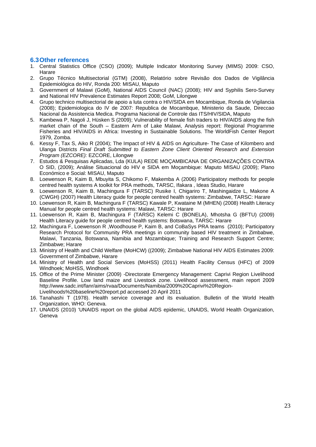#### **6.3 Other references**

- 1. Central Statistics Office (CSO) (2009); Multiple Indicator Monitoring Survey (MIMS) 2009: CSO, Harare
- 2. Grupo Técnico Multisectorial (GTM) (2008), Relatório sobre Revisão dos Dados de Vigilância Epidemiológica do HIV, Ronda 200: MISAU, Maputo
- 3. Government of Malawi (GoM), National AIDS Council (NAC) (2008); HIV and Syphilis Sero-Survey and National HIV Prevalence Estimates Report 2008; GoM, Lilongwe
- 4. Grupo technico multisectorial de apoio a luta contra o HIV/SIDA em Mocambique, Ronda de Vigilancia (2008); Epidemiologica do IV de 2007: Republica de Mocambque, Ministerio da Saude, Direccao Nacional da Assistencia Medica. Programa Nacional de Controle das ITS/HIV/SIDA, Maputo
- 5. Kambewa P, Nagoli J, Hüsken S (2009); Vulnerability of female fish traders to HIV/AIDS along the fish market chain of the South – Eastern Arm of Lake Malawi, Analysis report: Regional Programme Fisheries and HIV/AIDS in Africa: Investing in Sustainable Solutions. The WorldFish Center Report 1979, Zomba.
- 6. Kessy F, Tax S, Aiko R (2004); The Impact of HIV & AIDS on Agriculture- The Case of Kilombero and Ulanga Districts *Final Draft Submitted to Eastern Zone Client Oriented Research and Extension Program (EZCORE):* EZCORE, Lilongwe
- 7. Estudos & Pesquisas Aplicadas, Lda (KULA) REDE MOÇAMBICANA DE ORGANIZAÇÕES CONTRA O SID, (2009); Análise Situacional do HIV e SIDA em Moçambique: Maputo MISAU (2009); Plano Económico e Social: MISAU, Maputo
- 8. Loewenson R, Kaim B, Mbuyita S, Chikomo F, Makemba A (2006) Participatory methods for people centred health systems A toolkit for PRA methods, TARSC, Ifakara , Ideas Studio, Harare
- 9. Loewenson R, Kaim B, Machingura F (TARSC) Rusike I, Chigariro T, Mashingaidze L, Makone A (CWGH) (2007) Health Literacy guide for people centred health systems: Zimbabwe, TARSC: Harare
- 10. Loewenson R, Kaim B, Machingura F (TARSC) Kawale P, Kwataine M (MHEN) (2008) Health Literacy Manual for people centred health systems: Malawi, TARSC: Harare
- 11. Loewenson R, Kaim B, Machingura F (TARSC) Kelemi C (BONELA), Mhotsha G (BFTU) (2009) Health Literacy guide for people centred health systems: Botswana, TARSC: Harare
- 12. Machingura F, Loewenson R ,Woodhouse P, Kaim B, and CoBaSys PRA teams (2010); Participatory Research Protocol for Community PRA meetings in community based HIV treatment in Zimbabwe, Malawi, Tanzania, Botswana, Namibia and Mozambique; Training and Research Support Centre; Zimbabwe; Harare
- 13. Ministry of Health and Child Welfare (MoHCW) ((2009); Zimbabwe National HIV AIDS Estimates 2009: Government of Zimbabwe, Harare
- 14. Ministry of Health and Social Services (MoHSS) (2011) Health Facility Census (HFC) of 2009 Windhoek; MoHSS, Windhoek
- 15. Office of the Prime Minister (2009) -Directorate Emergency Management: Caprivi Region Livelihood Baseline Profile. Low land maize and Livestock zone. Livelihood assessment, main report 2009 http://www.sadc.int/fanr/aims/rvaa/Documents/Namibia/2009%20Caprivi%20Region-Livelihoods%20baseline%20report.pd accessed 20 April 2011
- 16. Tanahashi T (1978). Health service coverage and its evaluation. Bulletin of the World Health Organization, WHO: Geneva.
- 17. UNAIDS (2010) 'UNAIDS report on the global AIDS epidemic, UNAIDS, World Health Organization, Geneva